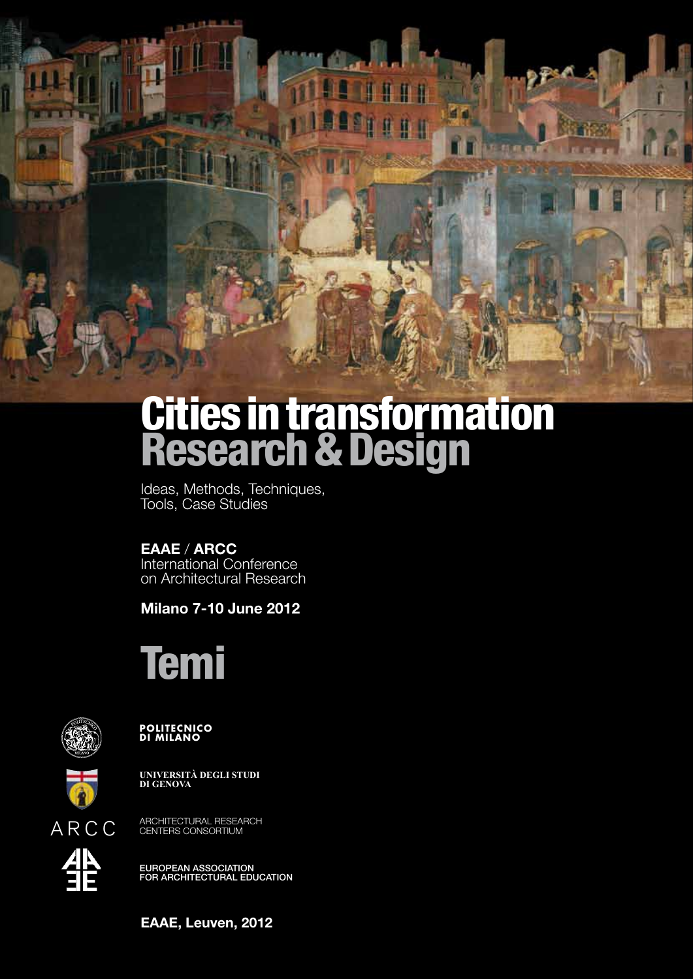

# Cities in transformation Research & Design

Ideas, Methods, Techniques, Tools, Case Studies

### **EAAE** / **ARCC**

International Conference on Architectural Research

**Milano 7-10 June 2012**

# Temi



POLITECNICO<br>DI MILANO



**UNIVERSITÀ DEGLI STUDI DI GENOVA**

ARCHITECTURAL RESEARCH CENTERS CONSORTIUM



EUROPEAN ASSOCIATION<br>FOR ARCHITECTURAL EDUCATION

**EAAE, Leuven, 2012**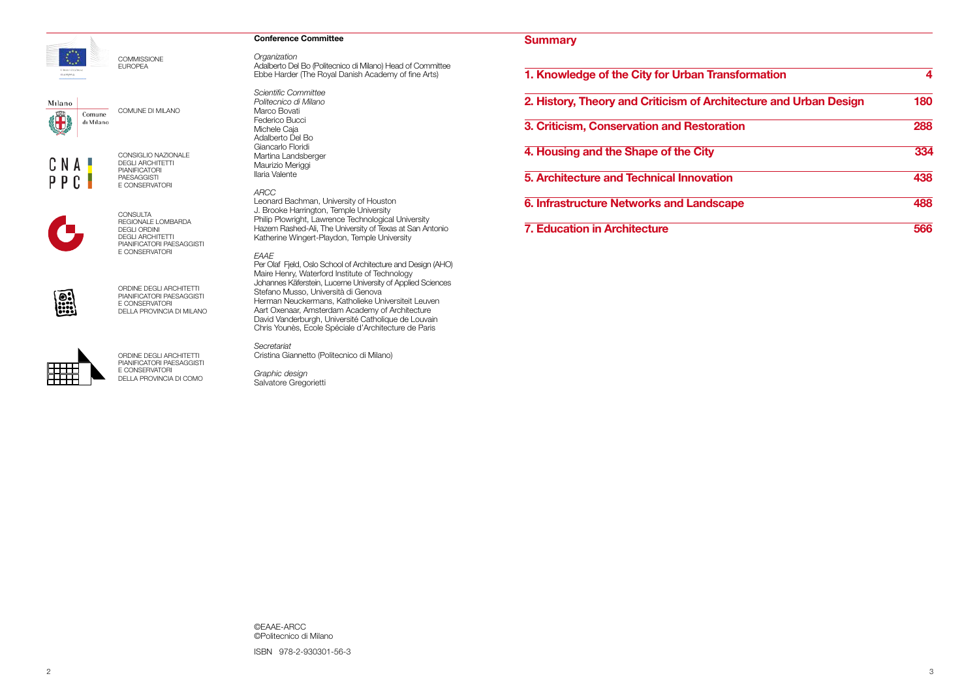### **Conference Committee**

*Organization*

Adalberto Del Bo (Politecnico di Milano) Head of Committee Ebbe Harder (The Royal Danish Academy of fine Arts)

*Scientific Committee Politecnico di Milano* Marco Bovati Federico Bucci Michele Caja Adalberto Del Bo Giancarlo Floridi Martina Landsberger Maurizio Meriggi Ilaria Valente

### *ARCC*

Leonard Bachman, University of Houston J. Brooke Harrington, Temple University Philip Plowright, Lawrence Technological University Hazem Rashed-Ali, The University of Texas at San Antonio Katherine Wingert-Playdon, Temple University

### *EAAE*

Per Olaf Fjeld, Oslo School of Architecture and Design (AHO) Maire Henry, Waterford Institute of Technology Johannes Käferstein, Lucerne University of Applied Sciences Stefano Musso, Università di Genova Herman Neuckermans, Katholieke Universiteit Leuven Aart Oxenaar, Amsterdam Academy of Architecture David Vanderburgh, Université Catholique de Louvain Chris Younès, Ecole Spéciale d'Architecture de Paris

*Secretariat* Cristina Giannetto (Politecnico di Milano)

*Graphic design* Salvatore Gregorietti

©EAAE-ARCC ©Politecnico di Milano ISBN 978-2-930301-56-3

| ormation               | 4   |
|------------------------|-----|
| cture and Urban Design | 180 |
| n                      | 288 |
|                        | 334 |
|                        | 438 |
| э                      | 488 |
|                        | 566 |



COMMISSIONE EUROPEA

Milano

Ü Comune dı Mılano

COMUNE DI MILANO



CONSIGLIO NAZIONALE DEGLI ARCHITETTI PIANIFICATORI PAESAGGISTI

E CONSERVATORI



CONSULTA REGIONALE LOMBARDA DEGLI ORDINI DEGLI ARCHITETTI PIANIFICATORI PAESAGGISTI E CONSERVATORI



ORDINE DEGLI ARCHITETTI PIANIFICATORI PAESAGGISTI E CONSERVATORI DELLA PROVINCIA DI MILANO



ORDINE DEGLI ARCHITETTI PIANIFICATORI PAESAGGISTI E CONSERVATORI DELLA PROVINCIA DI COMO

### **Summary**

**1. Knowledge of the City for Urban Transformation 4** 

**2. History, Theory and Criticism of Archite** 

**3. Criticism, Conservation and Restoration** 

**4. Housing and the Shape of the City 334**

**5. Architecture and Technical Innovation 438**

**6. Infrastructure Networks and Landscape 488**

**7. Education in Architecture**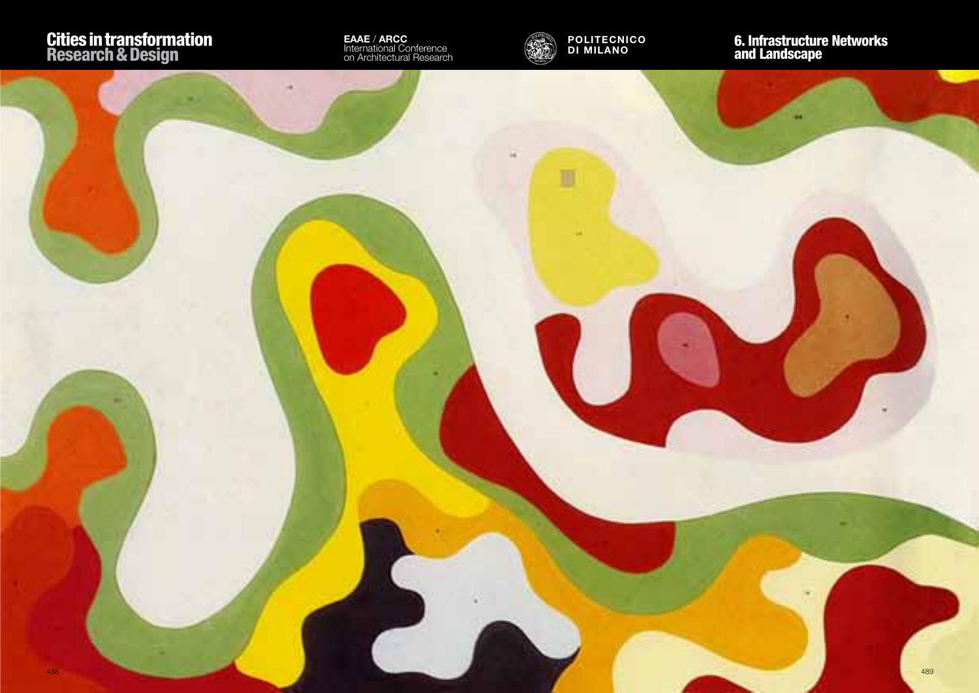

**EAAE** / **ARCC** International Conference on Architectural Research



U

## 6. Infrastructure Networks and Landscape

**POLITECNICO DI MILANO**

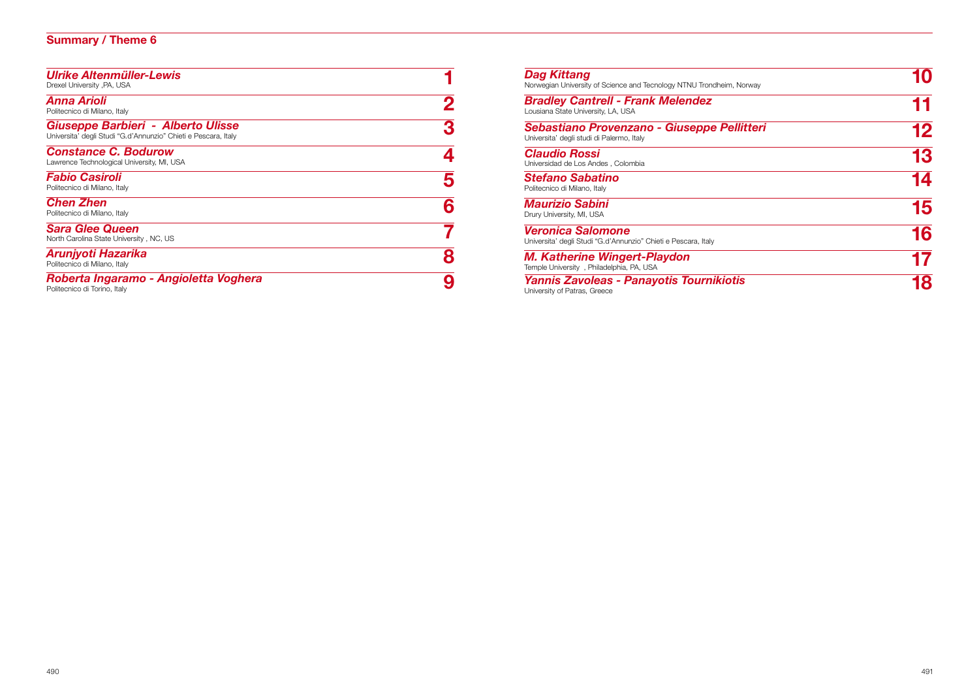### **Summary / Theme 6**

| <b>Ulrike Altenmüller-Lewis</b><br>Drexel University , PA, USA                                       |   |
|------------------------------------------------------------------------------------------------------|---|
| Anna Arioli<br>Politecnico di Milano, Italy                                                          |   |
| Giuseppe Barbieri - Alberto Ulisse<br>Universita' degli Studi "G.d'Annunzio" Chieti e Pescara, Italy |   |
| <b>Constance C. Bodurow</b><br>Lawrence Technological University, MI, USA                            |   |
| <b>Fabio Casiroli</b><br>Politecnico di Milano, Italy                                                |   |
| <b>Chen Zhen</b><br>Politecnico di Milano, Italy                                                     |   |
| <b>Sara Glee Queen</b><br>North Carolina State University, NC, US                                    |   |
| Arunjyoti Hazarika<br>Politecnico di Milano, Italy                                                   | 8 |
| Roberta Ingaramo - Angioletta Voghera<br>Politecnico di Torino, Italy                                |   |

| Dag Kittang<br>Norwegian University of Science and Tecnology NTNU Trondheim, Norway        | 10        |
|--------------------------------------------------------------------------------------------|-----------|
| <b>Bradley Cantrell - Frank Melendez</b><br>Lousiana State University, LA, USA             | 11        |
| Sebastiano Provenzano - Giuseppe Pellitteri<br>Universita' degli studi di Palermo, Italy   | 12        |
| <b>Claudio Rossi</b><br>Universidad de Los Andes, Colombia                                 | 13        |
| Stefano Sabatino<br>Politecnico di Milano, Italy                                           | 14        |
| Maurizio Sabini<br>Drury University, MI, USA                                               | 15        |
| <b>Veronica Salomone</b><br>Universita' degli Studi "G.d'Annunzio" Chieti e Pescara, Italy | <b>16</b> |
| <b>M. Katherine Wingert-Playdon</b><br>Temple University, Philadelphia, PA, USA            | 17        |
| Yannis Zavoleas - Panayotis Tournikiotis<br>University of Patras, Greece                   | 18        |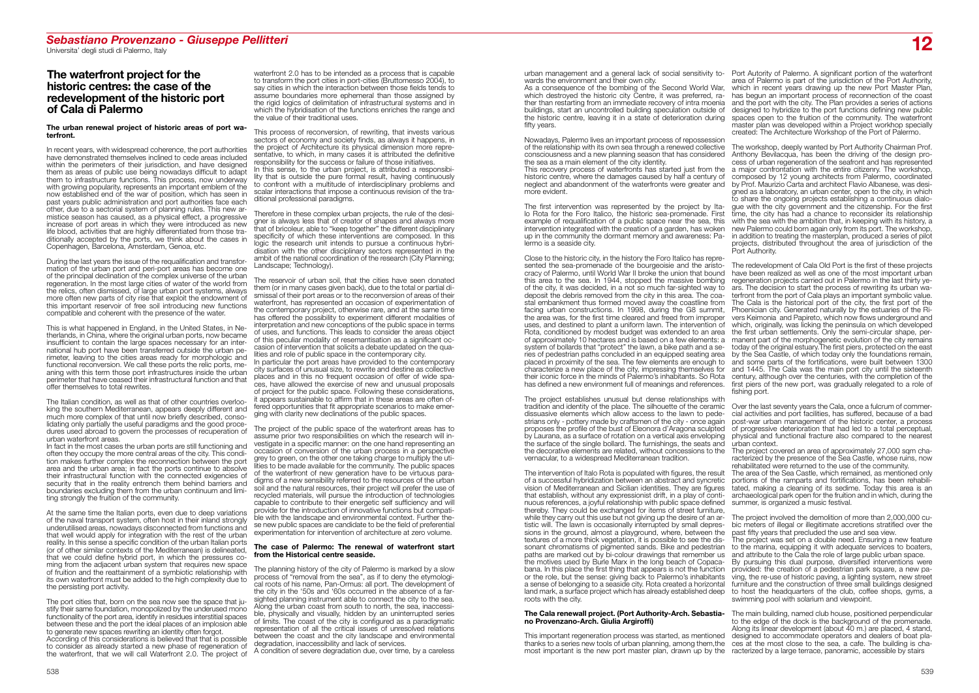# *Sebastiano Provenzano - Giuseppe Pellitteri*  Universita' degli studi di Palermo, Italy **12**

### **The waterfront project for the historic centres: the case of the redevelopment of the historic port of Cala di Palermo**

### **The urban renewal project of historic areas of port waterfront.**

In recent years, with widespread coherence, the port authorities have demonstrated themselves inclined to cede areas included within the perimeters of their jurisdiction, and have designed them as areas of public use being nowadays difficult to adapt them to infrastructure functions. This process, now underway with growing popularity, represents an important emblem of the now established end of the war of position, which has seen in past years public administration and port authorities face each other, due to a sectorial system of planning rules. This new armistice season has caused, as a physical effect, a progressive increase of port areas in which they were introduced as new life blood, activities that are highly differentiated from those traditionally accepted by the ports, we think about the cases in Copenhagen, Barcelona, Amsterdam, Genoa, etc.

During the last years the issue of the requalification and transformation of the urban port and peri-port areas has become one of the principal declination of the complex universe of the urban regeneration. In the most large cities of water of the world from the relics, often dismissed, of large urban port systems, always more often new parts of city rise that exploit the endowment of this important reservoir of free soil introducing new functions compatible and coherent with the presence of the water.

This is what happened in England, in the United States, in Netherlands, in China, where the original urban ports, now became insufficient to contain the large spaces necessary for an international hub port have been transferred outside the urban perimeter, leaving to the cities areas ready for morphologic and functional reconversion. We call these ports the relic ports, meaning with this term those port infrastructures inside the urban perimeter that have ceased their infrastructural function and that offer themselves to total rewrites.

The Italian condition, as well as that of other countries overlooking the southern Mediterranean, appears deeply different and much more complex of that until now briefly described, consolidating only partially the useful paradigms and the good procedures used abroad to govern the processes of recuperation of urban waterfront areas.

In fact in the most cases the urban ports are still functioning and often they occupy the more central areas of the city. This condition makes further complex the reconnection between the port area and the urban area; in fact the ports continue to absolve their infrastructural function with the connected exigencies of security that in the reality entrench them behind barriers and boundaries excluding them from the urban continuum and limiting strongly the fruition of the community.

The reservoir of urban soil, that the cities have seen donated them (or in many cases given back), due to the total or partial dismissal of their port areas or to the reconversion of areas of their waterfront, has represented an occasion of experimentation of the contemporary project, otherwise rare, and at the same time has offered the possibility to experiment different modalities of interpretation and new conceptions of the public space in terms of uses, and functions. This leads to consider the areas object of this peculiar modality of resemantisation as a significant occasion of intervention that solicits a debate updated on the qualities and role of public space in the contemporary city. In particular the port areas have provided to the contemporary city surfaces of unusual size, to rewrite and destine as collective places and in this no frequent occasion of offer of wide spaces, have allowed the exercise of new and unusual proposals of project for the public space. Following these considerations, it appears sustainable to affirm that in these areas are often offered opportunities that fit appropriate scenarios to make emer-

At the same time the Italian ports, even due to deep variations of the naval transport system, often host in their inland strongly underutilised areas, nowadays disconnected from functions and that well would apply for integration with the rest of the urban reality. In this sense a specific condition of the urban Italian ports (or of other similar contexts of the Mediterranean) is delineated, that we could define hybrid port, in which the pressures coming from the adjacent urban system that requires new space of fruition and the reattainment of a symbiotic relationship with its own waterfront must be added to the high complexity due to the persisting port activity.

The port cities that, born on the sea now see the space that justify their same foundation, monopolized by the underused mono functionality of the port area, identify in residues interstitial spaces between these and the port the ideal places of an implosion able to generate new spaces rewriting an identity often forgot.

According of this considerations is believed that that is possible to consider as already started a new phase of regeneration of the waterfront, that we will call Waterfront 2.0. The project of

urban management and a general lack of social sensitivity to-Port Autority of Palermo. A significant portion of the waterfront wards the environment and their own city.

waterfront 2.0 has to be intended as a process that is capable to transform the port cities in port-cities (Bruttomesso 2004), to say cities in which the interaction between those fields tends to assume boundaries more ephemeral than those assigned by the rigid logics of delimitation of infrastructural systems and in which the hybridisation of the functions enriches the range and the value of their traditional uses.

This process of reconversion, of rewriting, that invests various sectors of economy and society finds, as always it happens, in the project of Architecture its physical dimension more representative, to which, in many cases it is attributed the definitive responsibility for the success or failure of those initiatives. In this sense, to the urban project, is attributed a responsibility that is outside the pure formal result, having continuously to confront with a multitude of interdisciplinary problems and scalar interactions that impose a continuous revision of the traditional professional paradigms.

Therefore in these complex urban projects, the rule of the designer is always less that of creator of shapes and always more that of bricoleur, able to "keep together" the different disciplinary specificity of which these interventions are composed. In this logic the research unit intends to pursue a continuous hybridisation with the other disciplinary sectors represented in the ambit of the national coordination of the research (City Planning; Landscape; Technology).

> **no Provenzano-Arch. Giulia Argiroffi)** This important regeneration process was started, as mentioned thanks to a series new tools of urban planning, among them,the most important is the new port master plan, drawn up by the racterized by a large terrace, panoramic, accessible by stairs The main building, named club house, positioned perpendicular to the edge of the dock is the background of the promenade. Along its linear development (about 40 m.) are placed, 4 stand, designed to accommodate operators and dealers of boat places at the most close to the sea, a cafe. The building is cha-

ging with clarity new declinations of the public spaces.

The project of the public space of the waterfront areas has to assume prior two responsibilities on which the research will investigate in a specific manner: on the one hand representing an occasion of conversion of the urban process in a perspective grey to green, on the other one taking charge to multiply the utilities to be made available for the community. The public spaces of the waterfront of new generation have to be virtuous paradigms of a new sensibility referred to the resources of the urban soil and the natural resources, their project will prefer the use of recycled materials, will pursue the introduction of technologies capable to contribute to their energetic self sufficiency and will provide for the introduction of innovative functions but compatible with the landscape and environmental context. Further these new public spaces are candidate to be the field of preferential experimentation for intervention of architecture at zero volume.

#### **The case of Palermo: The renewal of waterfront start from the Historical centre seaside.**

The planning history of the city of Palermo is marked by a slow process of "removal from the sea", as if to deny the etymological roots of his name, Pan-Ormus: all port. The development of the city in the '50s and '60s occurred in the absence of a farsighted planning instrument able to connect the city to the sea. Along the urban coast from south to north, the sea, inaccessible, physically and visually, hidden by an uninterrupted series of limits. The coast of the city is configured as a paradigmatic representation of all the critical issues of unresolved relations between the coast and the city landscape and environmental degradation, inaccessibility and lack of services.

A condition of severe degradation due, over time, by a careless

As a consequence of the bombing of the Second World War, which destroyed the historic city Centre, it was preferred, rather than restarting from an immediate recovery of intra moenia buildings, start an uncontrolled building speculation outside of the historic centre, leaving it in a state of deterioration during fifty years.

Nowadays, Palermo lives an important process of repossession of the relationship with its own sea through a renewed collective consciousness and a new planning season that has considered the sea as a main element of the city identity.

This recovery process of waterfronts has started just from the historic centre, where the damages caused by half a century of neglect and abandonment of the waterfronts were greater and more evident.

The first intervention was represented by the project by Italo Rota for the Foro Italico, the historic sea-promenade. First example of requalification of a public space near the sea, this intervention integrated with the creation of a garden, has woken up in the community the dormant memory and awareness: Pa- lermo is a seaside city.

Close to the historic city, in the history the Foro Italico has repre- sented the sea-promenade of the bourgeoisie and the aristocracy of Palermo, until World War II broke the union that bound this area to the sea. In 1944, stopped the massive bombing of the city, it was decided, in a not so much far-sighted way to deposit the debris removed from the city in this area. The coastal embankment thus formed moved away the coastline from facing urban constructions. In 1998, during the G8 summit, the area was, for the first time cleared and freed from improper uses, and destined to plant a uniform lawn. The intervention of Rota, conditioned by modest budget was extended to an area of approximately 10 hectares and is based on a few elements: a system of bollards that "protect" the lawn, a bike path and a series of pedestrian paths concluded in an equipped seating area characterize a new place of the city, impressing themselves for their iconic force in the minds of Palermo's inhabitants. So Rota has defined a new environment full of meanings and references.

The project establishes unusual but dense relationships with tradition and identity of the place. The silhouette of the ceramic dissuasive elements which allow access to the lawn to pedestrians only - pottery made by craftsmen of the city - once again proposes the profile of the bust of Eleonora d'Aragona sculpted by Laurana, as a surface of rotation on a vertical axis enveloping the surface of the single bollard. The furnishings, the seats and the decorative elements are related, without concessions to the vernacular, to a widespread Mediterranean tradition.

## **The Cala renewall project. (Port Authority-Arch. Sebastia-**

area of Palermo is part of the jurisdiction of the Port Authority, which in recent years drawing up the new Port Master Plan. has begun an important process of reconnection of the coast and the port with the city. The Plan provides a series of actions designed to hybridize to the port functions defining new public spaces open to the fruition of the community. The waterfront master plan was developed within a Project workhop specially created: The Architecture Workshop of the Port of Palermo.

placed in proximity of the sea. The few elements are enough to and some parts of the fortifications, were built between 1300 The redevelopment of Cala Old Port is the first of these projects have been realized as well as one of the most important urban regeneration projects carried out in Palermo in the last thirty years. The decision to start the process of rewriting its urban waterfront from the port of Cala plays an important symbolic value. The Cala is the historical port of the city, the first port of the Phoenician city. Generated naturally by the estuaries of the Rivers Keimonia and Papireto, which now flows underground and which, originally, was licking the peninsula on which developed the first urban settlements. Only the semi-circular shape, permanent part of the morphogenetic evolution of the city remains today of the original estuary.The first piers, protected on the east by the Sea Castle, of which today only the foundations remain, and 1445. The Cala was the main port city until the sixteenth century, although over the centuries, with the completion of the first piers of the new port, was gradually relegated to a role of fishing port. Over the last seventy years the Cala, once a fulcrum of commercial activities and port facilities, has suffered, because of a bad post-war urban management of the historic center, a process of progressive deterioration that had led to a total perceptual, physical and functional fracture also compared to the nearest urban context. The project covered an area of approximately 27,000 sqm characterized by the presence of the Sea Castle, whose ruins, now rehabilitated were returned to the use of the community.



The workshop, deeply wanted by Port Authority Chairman Prof. Anthony Bevilacqua, has been the driving of the design process of urban regeneration of the seafront and has represented a major confrontation with the entire citizenry. The workshop, composed by 12 young architects from Palermo, coordinated by Prof. Maurizio Carta and architect Flavio Albanese, was designed as a laboratory, an urban center, open to the city, in which to share the ongoing projects establishing a continuous dialogue with the city government and the citizenship. For the first time, the city has had a chance to reconsider its relationship with the sea with the ambition that, in keeping with its history, a new Palermo could born again only from its port. The workshop, in addition to treating the masterplan, produced a series of pilot projects, distributed throughout the area of jurisdiction of the Port Authority.

The intervention of Italo Rota is populated with figures, the result of a successful hybridization between an abstract and syncretic vision of Mediterranean and Sicilian identities. They are figures that establish, without any expressionist drift, in a play of continuous references, a joyful relationship with public space defined thereby. They could be exchanged for items of street furniture, while they carry out this use but not giving up the desire of an artistic will. The lawn is occasionally interrupted by small depressions in the ground, almost a playground, where, between the textures of a more thick vegetation, it is possible to see the dissonant chromatisms of pigmented sands. Bike and pedestrian paths are marked out by bi-colour drawings that remember us the motives used by Burle Marx in the long beach of Copacabana. In this place the first thing that appears is not the function or the role, but the sense: giving back to Palermo's inhabitants a sense of belonging to a seaside city. Rota created a horizontal land mark, a surface project which has already established deep roots with the city. The area of the Sea Castle, which remained, as mentioned only portions of the ramparts and fortifications, has been rehabilitated, making a cleaning of its sedime. Today this area is an archaeological park open for the fruition and in which, during the summer, is organized a music festival. The project involved the demolition of more than 2,000,000 cubic meters of illegal or illegitimate accretions stratified over the past fifty years that precluded the use and sea view. The project was set on a double need. Ensuring a new feature to the marina, equipping it with adequate services to boaters, and attribute to the Cala the role of large public urban space. By pursuing this dual purpose, diversified interventions were provided: the creation of a pedestrian park square, a new paving, the re-use of historic paving, a lighting system, new street furniture and the construction of three small buildings designed to host the headquarters of the club, coffee shops, gyms, a swimming pool with solarium and viewpoint.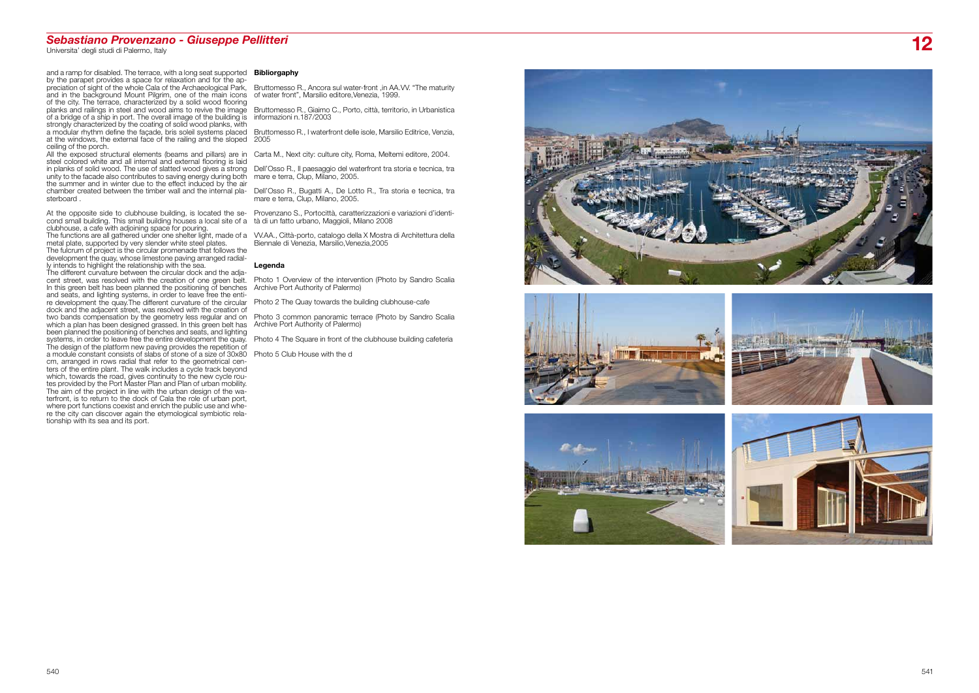and a ramp for disabled. The terrace, with a long seat supported by the parapet provides a space for relaxation and for the ap preciation of sight of the whole Cala of the Archaeological Park, and in the background Mount Pilgrim, one of the main icons of the city. The terrace, characterized by a solid wood flooring planks and railings in steel and wood aims to revive the image of a bridge of a ship in port. The overall image of the building is strongly characterized by the coating of solid wood planks, with a modular rhythm define the façade, bris soleil systems placed Bruttomesso R., I waterfront delle isole, Marsilio Editrice, Venzia, at the windows, the external face of the railing and the sloped 2005 ceiling of the porch.

All the exposed structural elements (beams and pillars) are in Carta M., Next city: culture city, Roma, Meltemi editore, 2004. steel colored white and all internal and external flooring is laid unity to the facade also contributes to saving energy during both the summer and in winter due to the effect induced by the air chamber created between the timber wall and the internal pla sterboard .

At the opposite side to clubhouse building, is located the second small building. This small building houses a local site of a clubhouse, a cafe with adjoining space for pouring. The functions are all gathered under one shelter light, made of a metal plate, supported by very slender white steel plates. The fulcrum of project is the circular promenade that follows the development the quay, whose limestone paving arranged radial ly intends to highlight the relationship with the sea. The different curvature between the circular dock and the adja cent street, was resolved with the creation of one green belt. In this green belt has been planned the positioning of benches Archive Port Authority of Palermo) and seats, and lighting systems, in order to leave free the enti re development the quay.The different curvature of the circular Photo 2 The Quay towards the building clubhouse-cafe dock and the adjacent street, was resolved with the creation of which a plan has been designed grassed. In this green belt has Archive Port Authority of Palermo)

in planks of solid wood. The use of slatted wood gives a strong Dell'Osso R., Il paesaggio del waterfront tra storia e tecnica, tra mare e terra, Clup, Milano, 2005.

been planned the positioning of benches and seats, and lighting systems, in order to leave free the entire development the quay. The design of the platform new paving provides the repetition of a module constant consists of slabs of stone of a size of 30x80 cm, arranged in rows radial that refer to the geometrical cen ters of the entire plant. The walk includes a cycle track beyond which, towards the road, gives continuity to the new cycle rou tes provided by the Port Master Plan and Plan of urban mobility. The aim of the project in line with the urban design of the wa terfront, is to return to the dock of Cala the role of urban port, where port functions coexist and enrich the public use and whe re the city can discover again the etymological symbiotic rela tionship with its sea and its port.

### **Bibliorgaphy**

two bands compensation by the geometry less regular and on Photo 3 common panoramic terrace (Photo by Sandro Scalia

Bruttomesso R., Ancora sul water-front ,in AA.VV. "The maturity of water front", Marsilio editore,Venezia, 1999.

Bruttomesso R., Giaimo C., Porto, città, territorio, in Urbanistica informazioni n.187/2003

Dell'Osso R., Bugatti A., De Lotto R., Tra storia e tecnica, tra mare e terra, Clup, Milano, 2005.

Provenzano S., Portocittà, caratterizzazioni e variazioni d'identi - tà di un fatto urbano, Maggioli, Milano 2008

VV.AA., Città-porto, catalogo della X Mostra di Architettura della Biennale di Venezia, Marsilio,Venezia,2005

### **Legenda**

Photo 1 Overview of the intervention (Photo by Sandro Scalia

Photo 4 The Square in front of the clubhouse building cafeteria

Photo 5 Club House with the d









# *Sebastiano Provenzano - Giuseppe Pellitteri*  Universita' degli studi di Palermo, Italy **12**